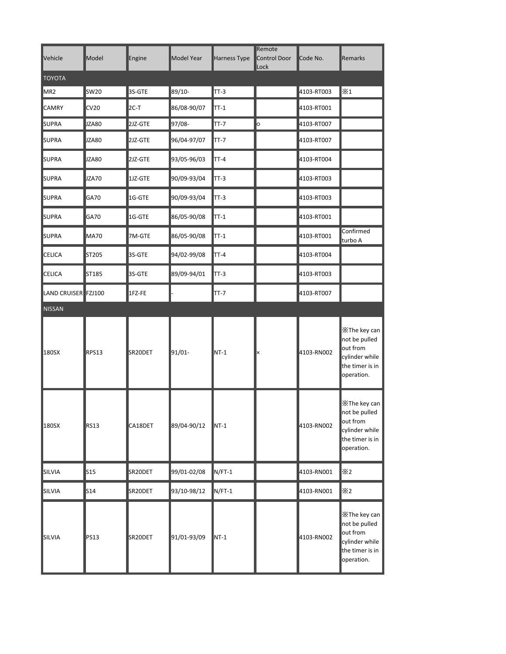| Vehicle             | Model            | Engine  | Model Year            | Harness Type | Remote<br>Control Door<br>Lock | Code No.   | <b>Remarks</b>                                                                                |
|---------------------|------------------|---------|-----------------------|--------------|--------------------------------|------------|-----------------------------------------------------------------------------------------------|
| <b>TOYOTA</b>       |                  |         |                       |              |                                |            |                                                                                               |
| MR <sub>2</sub>     | SW <sub>20</sub> | 3S-GTE  | 89/10-                | TT-3         |                                | 4103-RT003 | X1                                                                                            |
| <b>CAMRY</b>        | CV20             | 2C-T    | 86/08-90/07           | TT-1         |                                | 4103-RT001 |                                                                                               |
| SUPRA               | JZA80            | 2JZ-GTE | 97/08-                | TT-7         | lо                             | 4103-RT007 |                                                                                               |
| SUPRA               | JZA80            | 2JZ-GTE | 96/04-97/07           | TT-7         |                                | 4103-RT007 |                                                                                               |
| SUPRA               | JZA80            | 2JZ-GTE | 93/05-96/03           | TT-4         |                                | 4103-RT004 |                                                                                               |
| SUPRA               | JZA70            | 1JZ-GTE | 90/09-93/04           | TT-3         |                                | 4103-RT003 |                                                                                               |
| <b>SUPRA</b>        | GA70             | 1G-GTE  | 90/09-93/04           | TT-3         |                                | 4103-RT003 |                                                                                               |
| SUPRA               | GA70             | 1G-GTE  | 86/05-90/08           | TT-1         |                                | 4103-RT001 |                                                                                               |
| SUPRA               | MA70             | 7M-GTE  | 86/05-90/08           | TT-1         |                                | 4103-RT001 | Confirmed<br>turbo A                                                                          |
| <b>CELICA</b>       | ST205            | 3S-GTE  | 94/02-99/08           | TT-4         |                                | 4103-RT004 |                                                                                               |
| <b>CELICA</b>       | ST185            | 3S-GTE  | 89/09-94/01           | TT-3         |                                | 4103-RT003 |                                                                                               |
| LAND CRUISER FZJ100 |                  | 1FZ-FE  |                       | TT-7         |                                | 4103-RT007 |                                                                                               |
| <b>NISSAN</b>       |                  |         |                       |              |                                |            |                                                                                               |
| <b>180SX</b>        | RPS13            | SR20DET | $\blacksquare$ 91/01- | $NT-1$       |                                | 4103-RN002 | X The key can<br>not be pulled<br>out from<br>cylinder while<br>the timer is in<br>operation. |
| 180SX               | RS13             | CA18DET | 89/04-90/12           | $NT-1$       |                                | 4103-RN002 | XThe key can<br>not be pulled<br>out from<br>cylinder while<br>the timer is in<br>operation.  |
| <b>SILVIA</b>       | S <sub>15</sub>  | SR20DET | 99/01-02/08           | N/FT-1       |                                | 4103-RN001 | $\times 2$                                                                                    |
| SILVIA              | S14              | SR20DET | 93/10-98/12           | N/FT-1       |                                | 4103-RN001 | X2                                                                                            |
| SILVIA              | PS13             | SR20DET | 91/01-93/09           | $NT-1$       |                                | 4103-RN002 | X The key can<br>not be pulled<br>out from<br>cylinder while<br>the timer is in<br>operation. |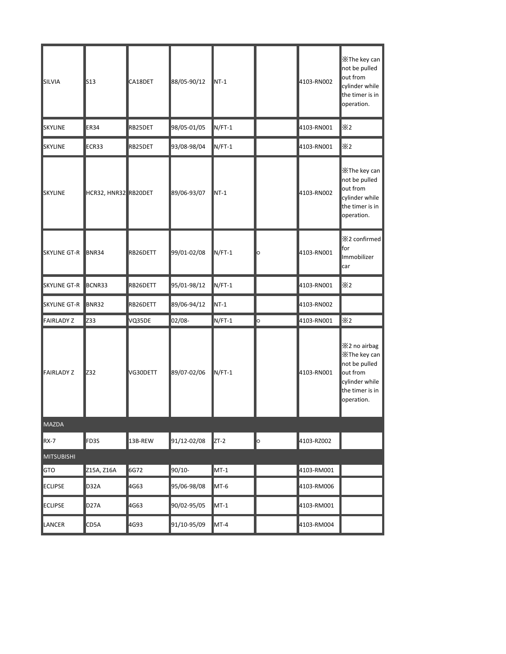| SILVIA              | S <sub>13</sub>      | CA18DET  | 88/05-90/12 | $NT-1$   |   | 4103-RN002 | XThe key can<br>not be pulled<br>out from<br>cylinder while<br>the timer is in<br>operation.                         |
|---------------------|----------------------|----------|-------------|----------|---|------------|----------------------------------------------------------------------------------------------------------------------|
| SKYLINE             | <b>ER34</b>          | RB25DET  | 98/05-01/05 | N/FT-1   |   | 4103-RN001 | X2                                                                                                                   |
| <b>SKYLINE</b>      | ECR33                | RB25DET  | 93/08-98/04 | $N/FT-1$ |   | 4103-RN001 | X2                                                                                                                   |
| SKYLINE             | HCR32, HNR32 RB20DET |          | 89/06-93/07 | $NT-1$   |   | 4103-RN002 | XThe key can<br>not be pulled<br>out from<br>cylinder while<br>the timer is in<br>operation.                         |
| SKYLINE GT-R        | BNR34                | RB26DETT | 99/01-02/08 | N/FT-1   | ю | 4103-RN001 | $\mathbb{X}$ 2 confirmed<br>lfor<br>Immobilizer<br>car                                                               |
| SKYLINE GT-R        | BCNR33               | RB26DETT | 95/01-98/12 | $N/FT-1$ |   | 4103-RN001 | lX2                                                                                                                  |
| <b>SKYLINE GT-R</b> | BNR32                | RB26DETT | 89/06-94/12 | $NT-1$   |   | 4103-RN002 |                                                                                                                      |
| <b>FAIRLADY Z</b>   | Z33                  | VQ35DE   | 02/08-      | N/FT-1   | o | 4103-RN001 | l⋇2                                                                                                                  |
| <b>FAIRLADY Z</b>   | Z32                  | VG30DETT | 89/07-02/06 | N/FT-1   |   | 4103-RN001 | $\times$ 2 no airbag<br>XThe key can<br>not be pulled<br>out from<br>cylinder while<br>the timer is in<br>operation. |
| <b>MAZDA</b>        |                      |          |             |          |   |            |                                                                                                                      |
| <b>RX-7</b>         | FD3S                 | 13B-REW  | 91/12-02/08 | $ZT-2$   | þ | 4103-RZ002 |                                                                                                                      |
| <b>MITSUBISHI</b>   |                      |          |             |          |   |            |                                                                                                                      |
| <b>GTO</b>          | Z15A, Z16A           | 6G72     | 90/10-      | MT-1     |   | 4103-RM001 |                                                                                                                      |
| <b>ECLIPSE</b>      | D32A                 | 4G63     | 95/06-98/08 | MT-6     |   | 4103-RM006 |                                                                                                                      |
| <b>ECLIPSE</b>      | <b>D27A</b>          | 4G63     | 90/02-95/05 | $MT-1$   |   | 4103-RM001 |                                                                                                                      |
| LANCER              | CD5A                 | 4G93     | 91/10-95/09 | MT-4     |   | 4103-RM004 |                                                                                                                      |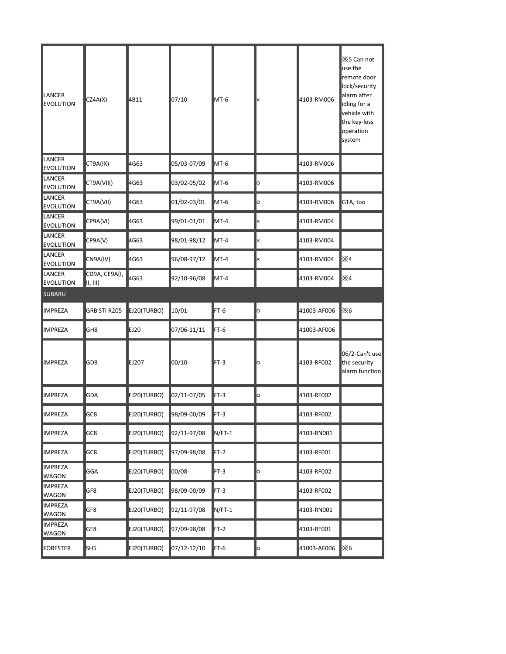| LANCER<br><b>EVOLUTION</b> | CZ4A(X)                        | 4B11        | 07/10-      | MT-6     | ×  | 4103-RM006  | X5 Can not<br>use the<br>remote door<br>lock/security<br>alarm after<br>idling for a<br>vehicle with<br>the key-less<br>operation<br>system |
|----------------------------|--------------------------------|-------------|-------------|----------|----|-------------|---------------------------------------------------------------------------------------------------------------------------------------------|
| LANCER<br><b>EVOLUTION</b> | CT9A(IX)                       | 4G63        | 05/03-07/09 | MT-6     |    | 4103-RM006  |                                                                                                                                             |
| LANCER<br><b>EVOLUTION</b> | CT9A(VIII)                     | 4G63        | 03/02-05/02 | MT-6     | Ю  | 4103-RM006  |                                                                                                                                             |
| LANCER<br><b>EVOLUTION</b> | CT9A(VII)                      | 4G63        | 01/02-03/01 | MT-6     | Įо | 4103-RM006  | GTA, too                                                                                                                                    |
| LANCER<br><b>EVOLUTION</b> | CP9A(VI)                       | 4G63        | 99/01-01/01 | MT-4     | ×  | 4103-RM004  |                                                                                                                                             |
| LANCER<br><b>EVOLUTION</b> | CP9A(V)                        | 4G63        | 98/01-98/12 | MT-4     | ×  | 4103-RM004  |                                                                                                                                             |
| LANCER<br><b>EVOLUTION</b> | CN9A(IV)                       | 4G63        | 96/08-97/12 | $MT-4$   | ×  | 4103-RM004  | $\times 4$                                                                                                                                  |
| LANCER<br><b>EVOLUTION</b> | CD9A, CE9A(I,<br>$\ $ II, III) | 4G63        | 92/10-96/08 | MT-4     |    | 4103-RM004  | ∣X4                                                                                                                                         |
| SUBARU                     |                                |             |             |          |    |             |                                                                                                                                             |
| IMPREZA                    | GRB STI R205                   | EJ20(TURBO) | 10/01-      | FT-6     | þ  | 41003-AF006 | X6                                                                                                                                          |
| IMPREZA                    | GH8                            | EJ20        | 07/06-11/11 | FT-6     |    | 41003-AF006 |                                                                                                                                             |
| <b>IMPREZA</b>             | GDB                            | EJ207       | 00/10-      | FT-3     | Įо | 4103-RF002  | $ 06/2$ -Can't use<br>the security<br>alarm function                                                                                        |
| <b>IMPREZA</b>             | GDA                            | EJ20(TURBO) | 02/11-07/05 | $FT-3$   | Įо | 4103-RF002  |                                                                                                                                             |
| <b>IMPREZA</b>             | GC8                            | EJ20(TURBO) | 98/09-00/09 | FT-3     |    | 4103-RF002  |                                                                                                                                             |
| <b>IMPREZA</b>             | GC8                            | EJ20(TURBO) | 92/11-97/08 | $N/FT-1$ |    | 4103-RN001  |                                                                                                                                             |
| <b>IMPREZA</b>             | GC8                            | EJ20(TURBO) | 97/09-98/08 | FT-2     |    | 4103-RF001  |                                                                                                                                             |
| IMPREZA<br>WAGON           | GGA                            | EJ20(TURBO) | 00/08-      | FT-3     | о  | 4103-RF002  |                                                                                                                                             |
|                            |                                | EJ20(TURBO) | 98/09-00/09 | FT-3     |    | 4103-RF002  |                                                                                                                                             |
| IMPREZA<br>WAGON           | GF8                            |             |             |          |    |             |                                                                                                                                             |
| IMPREZA<br>WAGON           | GF8                            | EJ20(TURBO) | 92/11-97/08 | $N/FT-1$ |    | 4103-RN001  |                                                                                                                                             |
| IMPREZA<br>WAGON           | GF8                            | EJ20(TURBO) | 97/09-98/08 | FT-2     |    | 4103-RF001  |                                                                                                                                             |